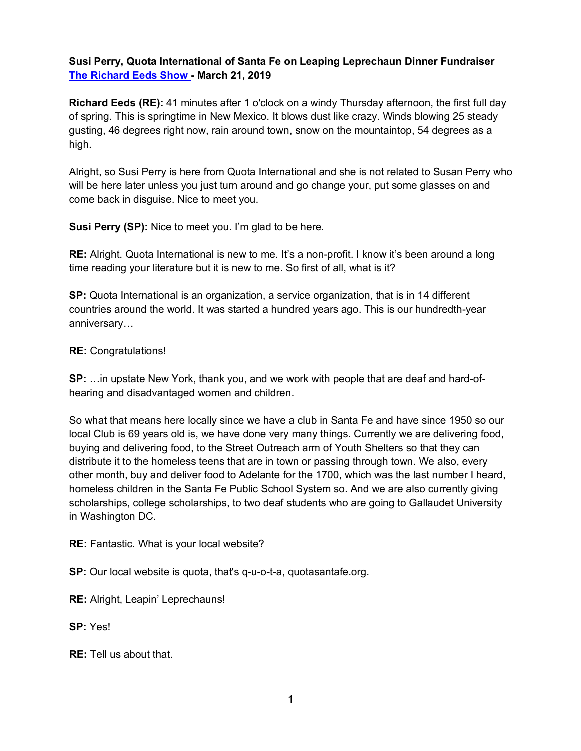**Susi Perry, Quota International of Santa Fe on Leaping Leprechaun Dinner Fundraiser The Richard Eeds Show - March 21, 2019**

**Richard Eeds (RE):** 41 minutes after 1 o'clock on a windy Thursday afternoon, the first full day of spring. This is springtime in New Mexico. It blows dust like crazy. Winds blowing 25 steady gusting, 46 degrees right now, rain around town, snow on the mountaintop, 54 degrees as a high.

Alright, so Susi Perry is here from Quota International and she is not related to Susan Perry who will be here later unless you just turn around and go change your, put some glasses on and come back in disguise. Nice to meet you.

**Susi Perry (SP):** Nice to meet you. I'm glad to be here.

**RE:** Alright. Quota International is new to me. It's a non-profit. I know it's been around a long time reading your literature but it is new to me. So first of all, what is it?

**SP:** Quota International is an organization, a service organization, that is in 14 different countries around the world. It was started a hundred years ago. This is our hundredth-year anniversary…

## **RE:** Congratulations!

**SP:** …in upstate New York, thank you, and we work with people that are deaf and hard-ofhearing and disadvantaged women and children.

So what that means here locally since we have a club in Santa Fe and have since 1950 so our local Club is 69 years old is, we have done very many things. Currently we are delivering food, buying and delivering food, to the Street Outreach arm of Youth Shelters so that they can distribute it to the homeless teens that are in town or passing through town. We also, every other month, buy and deliver food to Adelante for the 1700, which was the last number I heard, homeless children in the Santa Fe Public School System so. And we are also currently giving scholarships, college scholarships, to two deaf students who are going to Gallaudet University in Washington DC.

**RE:** Fantastic. What is your local website?

**SP:** Our local website is quota, that's q-u-o-t-a, quotasantafe.org.

**RE:** Alright, Leapin' Leprechauns!

**SP:** Yes!

**RE:** Tell us about that.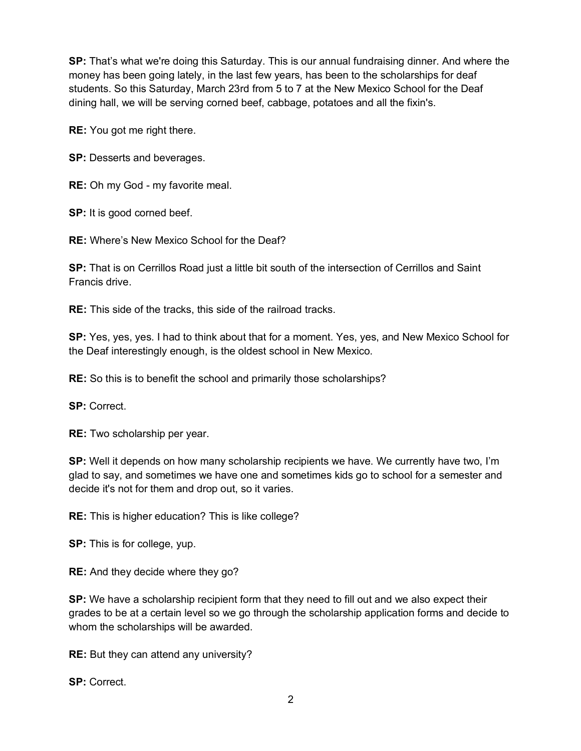**SP:** That's what we're doing this Saturday. This is our annual fundraising dinner. And where the money has been going lately, in the last few years, has been to the scholarships for deaf students. So this Saturday, March 23rd from 5 to 7 at the New Mexico School for the Deaf dining hall, we will be serving corned beef, cabbage, potatoes and all the fixin's.

**RE:** You got me right there.

**SP:** Desserts and beverages.

**RE:** Oh my God - my favorite meal.

**SP:** It is good corned beef.

**RE:** Where's New Mexico School for the Deaf?

**SP:** That is on Cerrillos Road just a little bit south of the intersection of Cerrillos and Saint Francis drive.

**RE:** This side of the tracks, this side of the railroad tracks.

**SP:** Yes, yes, yes. I had to think about that for a moment. Yes, yes, and New Mexico School for the Deaf interestingly enough, is the oldest school in New Mexico.

**RE:** So this is to benefit the school and primarily those scholarships?

**SP:** Correct.

**RE:** Two scholarship per year.

**SP:** Well it depends on how many scholarship recipients we have. We currently have two, I'm glad to say, and sometimes we have one and sometimes kids go to school for a semester and decide it's not for them and drop out, so it varies.

**RE:** This is higher education? This is like college?

**SP:** This is for college, yup.

**RE:** And they decide where they go?

**SP:** We have a scholarship recipient form that they need to fill out and we also expect their grades to be at a certain level so we go through the scholarship application forms and decide to whom the scholarships will be awarded.

**RE:** But they can attend any university?

**SP:** Correct.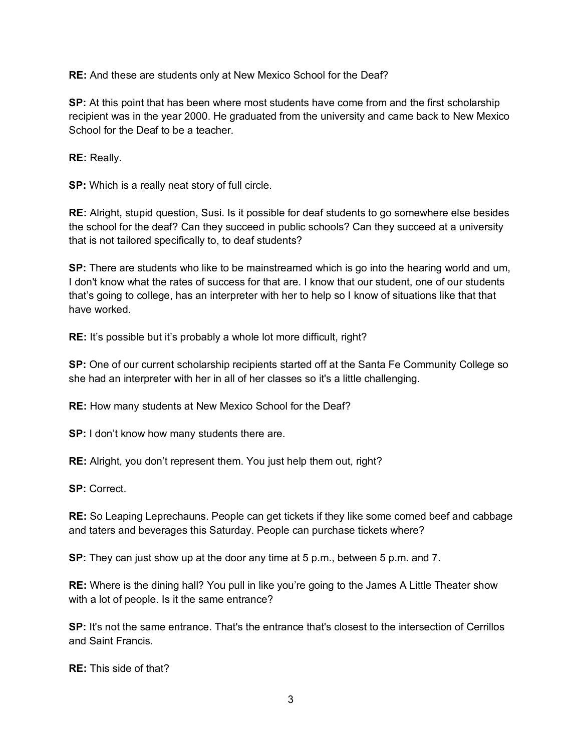**RE:** And these are students only at New Mexico School for the Deaf?

**SP:** At this point that has been where most students have come from and the first scholarship recipient was in the year 2000. He graduated from the university and came back to New Mexico School for the Deaf to be a teacher.

**RE:** Really.

**SP:** Which is a really neat story of full circle.

**RE:** Alright, stupid question, Susi. Is it possible for deaf students to go somewhere else besides the school for the deaf? Can they succeed in public schools? Can they succeed at a university that is not tailored specifically to, to deaf students?

**SP:** There are students who like to be mainstreamed which is go into the hearing world and um, I don't know what the rates of success for that are. I know that our student, one of our students that's going to college, has an interpreter with her to help so I know of situations like that that have worked.

**RE:** It's possible but it's probably a whole lot more difficult, right?

**SP:** One of our current scholarship recipients started off at the Santa Fe Community College so she had an interpreter with her in all of her classes so it's a little challenging.

**RE:** How many students at New Mexico School for the Deaf?

**SP:** I don't know how many students there are.

**RE:** Alright, you don't represent them. You just help them out, right?

**SP:** Correct.

**RE:** So Leaping Leprechauns. People can get tickets if they like some corned beef and cabbage and taters and beverages this Saturday. People can purchase tickets where?

**SP:** They can just show up at the door any time at 5 p.m., between 5 p.m. and 7.

**RE:** Where is the dining hall? You pull in like you're going to the James A Little Theater show with a lot of people. Is it the same entrance?

**SP:** It's not the same entrance. That's the entrance that's closest to the intersection of Cerrillos and Saint Francis.

**RE:** This side of that?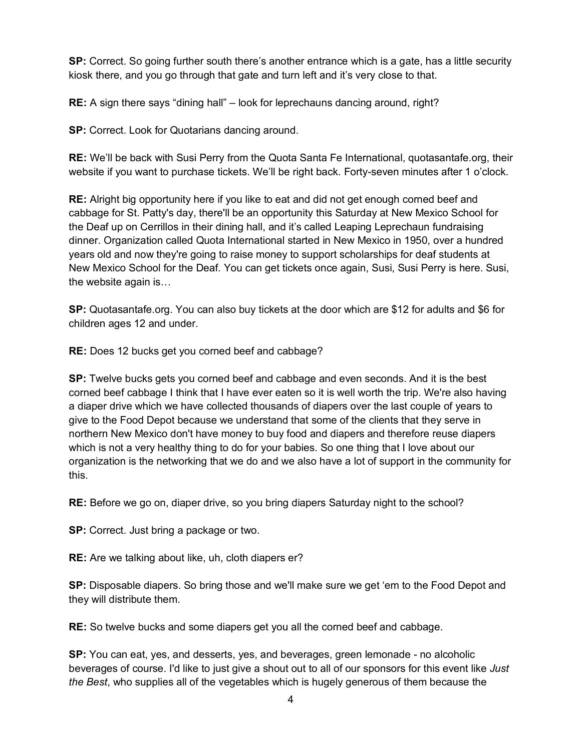**SP:** Correct. So going further south there's another entrance which is a gate, has a little security kiosk there, and you go through that gate and turn left and it's very close to that.

**RE:** A sign there says "dining hall" – look for leprechauns dancing around, right?

**SP:** Correct. Look for Quotarians dancing around.

**RE:** We'll be back with Susi Perry from the Quota Santa Fe International, quotasantafe.org, their website if you want to purchase tickets. We'll be right back. Forty-seven minutes after 1 o'clock.

**RE:** Alright big opportunity here if you like to eat and did not get enough corned beef and cabbage for St. Patty's day, there'll be an opportunity this Saturday at New Mexico School for the Deaf up on Cerrillos in their dining hall, and it's called Leaping Leprechaun fundraising dinner. Organization called Quota International started in New Mexico in 1950, over a hundred years old and now they're going to raise money to support scholarships for deaf students at New Mexico School for the Deaf. You can get tickets once again, Susi, Susi Perry is here. Susi, the website again is…

**SP:** Quotasantafe.org. You can also buy tickets at the door which are \$12 for adults and \$6 for children ages 12 and under.

**RE:** Does 12 bucks get you corned beef and cabbage?

**SP:** Twelve bucks gets you corned beef and cabbage and even seconds. And it is the best corned beef cabbage I think that I have ever eaten so it is well worth the trip. We're also having a diaper drive which we have collected thousands of diapers over the last couple of years to give to the Food Depot because we understand that some of the clients that they serve in northern New Mexico don't have money to buy food and diapers and therefore reuse diapers which is not a very healthy thing to do for your babies. So one thing that I love about our organization is the networking that we do and we also have a lot of support in the community for this.

**RE:** Before we go on, diaper drive, so you bring diapers Saturday night to the school?

**SP:** Correct. Just bring a package or two.

**RE:** Are we talking about like, uh, cloth diapers er?

**SP:** Disposable diapers. So bring those and we'll make sure we get 'em to the Food Depot and they will distribute them.

**RE:** So twelve bucks and some diapers get you all the corned beef and cabbage.

**SP:** You can eat, yes, and desserts, yes, and beverages, green lemonade - no alcoholic beverages of course. I'd like to just give a shout out to all of our sponsors for this event like *Just the Best*, who supplies all of the vegetables which is hugely generous of them because the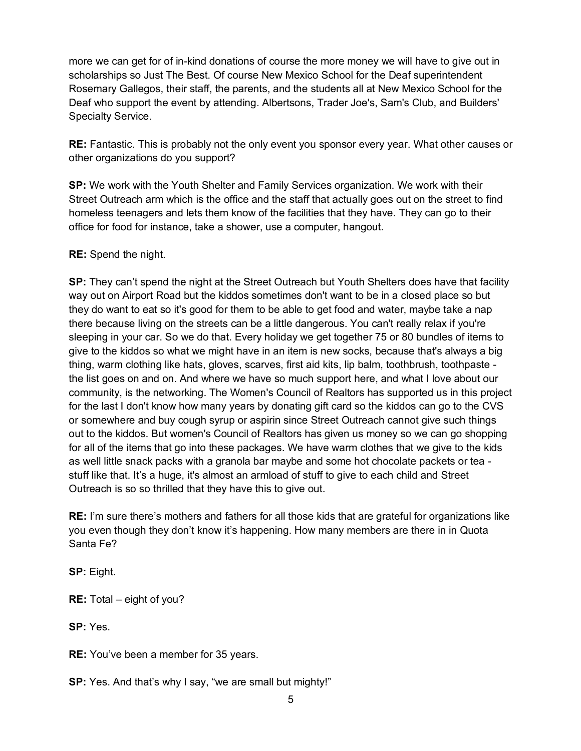more we can get for of in-kind donations of course the more money we will have to give out in scholarships so Just The Best. Of course New Mexico School for the Deaf superintendent Rosemary Gallegos, their staff, the parents, and the students all at New Mexico School for the Deaf who support the event by attending. Albertsons, Trader Joe's, Sam's Club, and Builders' Specialty Service.

**RE:** Fantastic. This is probably not the only event you sponsor every year. What other causes or other organizations do you support?

**SP:** We work with the Youth Shelter and Family Services organization. We work with their Street Outreach arm which is the office and the staff that actually goes out on the street to find homeless teenagers and lets them know of the facilities that they have. They can go to their office for food for instance, take a shower, use a computer, hangout.

## **RE:** Spend the night.

**SP:** They can't spend the night at the Street Outreach but Youth Shelters does have that facility way out on Airport Road but the kiddos sometimes don't want to be in a closed place so but they do want to eat so it's good for them to be able to get food and water, maybe take a nap there because living on the streets can be a little dangerous. You can't really relax if you're sleeping in your car. So we do that. Every holiday we get together 75 or 80 bundles of items to give to the kiddos so what we might have in an item is new socks, because that's always a big thing, warm clothing like hats, gloves, scarves, first aid kits, lip balm, toothbrush, toothpaste the list goes on and on. And where we have so much support here, and what I love about our community, is the networking. The Women's Council of Realtors has supported us in this project for the last I don't know how many years by donating gift card so the kiddos can go to the CVS or somewhere and buy cough syrup or aspirin since Street Outreach cannot give such things out to the kiddos. But women's Council of Realtors has given us money so we can go shopping for all of the items that go into these packages. We have warm clothes that we give to the kids as well little snack packs with a granola bar maybe and some hot chocolate packets or tea stuff like that. It's a huge, it's almost an armload of stuff to give to each child and Street Outreach is so so thrilled that they have this to give out.

**RE:** I'm sure there's mothers and fathers for all those kids that are grateful for organizations like you even though they don't know it's happening. How many members are there in in Quota Santa Fe?

**SP:** Eight.

**RE:** Total – eight of you?

**SP:** Yes.

**RE:** You've been a member for 35 years.

**SP:** Yes. And that's why I say, "we are small but mighty!"